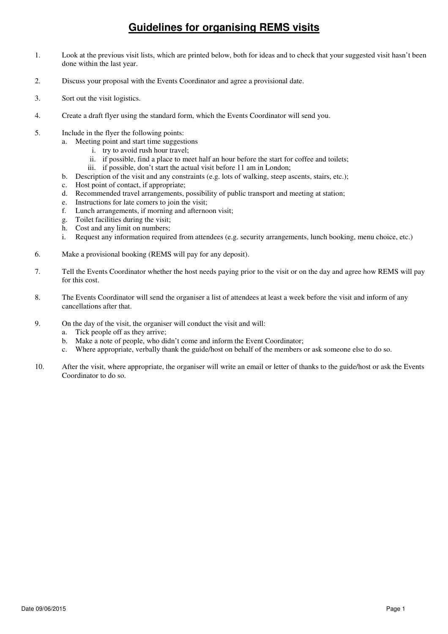- 1. Look at the previous visit lists, which are printed below, both for ideas and to check that your suggested visit hasn't been done within the last year.
- 2. Discuss your proposal with the Events Coordinator and agree a provisional date.
- 3. Sort out the visit logistics.
- 4. Create a draft flyer using the standard form, which the Events Coordinator will send you.
- 5. Include in the flyer the following points:
	- a. Meeting point and start time suggestions
		- i. try to avoid rush hour travel;
		- ii. if possible, find a place to meet half an hour before the start for coffee and toilets;
		- iii. if possible, don't start the actual visit before 11 am in London;
	- b. Description of the visit and any constraints (e.g. lots of walking, steep ascents, stairs, etc.);
	- c. Host point of contact, if appropriate;
	- d. Recommended travel arrangements, possibility of public transport and meeting at station;
	- e. Instructions for late comers to join the visit;
	- f. Lunch arrangements, if morning and afternoon visit;
	- g. Toilet facilities during the visit;
	- h. Cost and any limit on numbers;
	- i. Request any information required from attendees (e.g. security arrangements, lunch booking, menu choice, etc.)
- 6. Make a provisional booking (REMS will pay for any deposit).
- 7. Tell the Events Coordinator whether the host needs paying prior to the visit or on the day and agree how REMS will pay for this cost.
- 8. The Events Coordinator will send the organiser a list of attendees at least a week before the visit and inform of any cancellations after that.
- 9. On the day of the visit, the organiser will conduct the visit and will:
	- a. Tick people off as they arrive;
	- b. Make a note of people, who didn't come and inform the Event Coordinator;
	- c. Where appropriate, verbally thank the guide/host on behalf of the members or ask someone else to do so.
- 10. After the visit, where appropriate, the organiser will write an email or letter of thanks to the guide/host or ask the Events Coordinator to do so.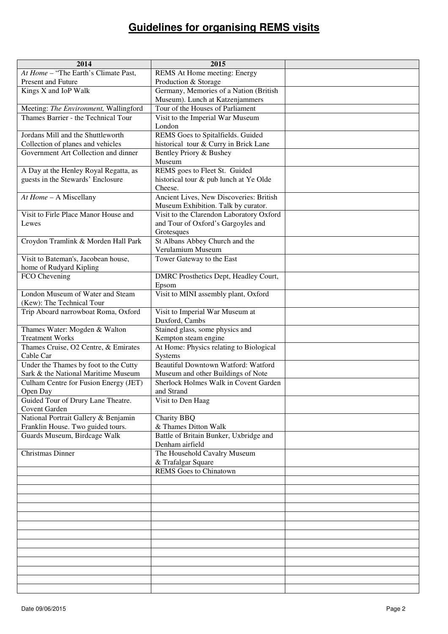| 2014                                                                         | 2015                                                            |  |
|------------------------------------------------------------------------------|-----------------------------------------------------------------|--|
| At Home - "The Earth's Climate Past,                                         | REMS At Home meeting: Energy                                    |  |
| Present and Future                                                           | Production & Storage                                            |  |
| Kings X and IoP Walk                                                         | Germany, Memories of a Nation (British                          |  |
|                                                                              | Museum). Lunch at Katzenjammers                                 |  |
| Meeting: The Environment, Wallingford<br>Thames Barrier - the Technical Tour | Tour of the Houses of Parliament                                |  |
|                                                                              | Visit to the Imperial War Museum<br>London                      |  |
| Jordans Mill and the Shuttleworth                                            | REMS Goes to Spitalfields. Guided                               |  |
| Collection of planes and vehicles                                            | historical tour & Curry in Brick Lane                           |  |
| Government Art Collection and dinner                                         | Bentley Priory & Bushey                                         |  |
|                                                                              | Museum                                                          |  |
| A Day at the Henley Royal Regatta, as                                        | REMS goes to Fleet St. Guided                                   |  |
| guests in the Stewards' Enclosure                                            | historical tour & pub lunch at Ye Olde                          |  |
|                                                                              | Cheese.<br>Ancient Lives, New Discoveries: British              |  |
| At Home - A Miscellany                                                       | Museum Exhibition. Talk by curator.                             |  |
| Visit to Firle Place Manor House and                                         | Visit to the Clarendon Laboratory Oxford                        |  |
| Lewes                                                                        | and Tour of Oxford's Gargoyles and                              |  |
|                                                                              | Grotesques                                                      |  |
| Croydon Tramlink & Morden Hall Park                                          | St Albans Abbey Church and the                                  |  |
|                                                                              | Verulamium Museum                                               |  |
| Visit to Bateman's, Jacobean house,                                          | Tower Gateway to the East                                       |  |
| home of Rudyard Kipling<br>FCO Chevening                                     | DMRC Prosthetics Dept, Headley Court,                           |  |
|                                                                              | Epsom                                                           |  |
| London Museum of Water and Steam                                             | Visit to MINI assembly plant, Oxford                            |  |
| (Kew): The Technical Tour                                                    |                                                                 |  |
| Trip Aboard narrowboat Roma, Oxford                                          | Visit to Imperial War Museum at                                 |  |
|                                                                              | Duxford, Cambs                                                  |  |
| Thames Water: Mogden & Walton                                                | Stained glass, some physics and                                 |  |
| <b>Treatment Works</b><br>Thames Cruise, O2 Centre, & Emirates               | Kempton steam engine<br>At Home: Physics relating to Biological |  |
| Cable Car                                                                    | Systems                                                         |  |
| Under the Thames by foot to the Cutty                                        | Beautiful Downtown Watford: Watford                             |  |
| Sark & the National Maritime Museum                                          | Museum and other Buildings of Note                              |  |
| Culham Centre for Fusion Energy (JET)                                        | Sherlock Holmes Walk in Covent Garden                           |  |
| Open Day                                                                     | and Strand                                                      |  |
| Guided Tour of Drury Lane Theatre.<br>Covent Garden                          | Visit to Den Haag                                               |  |
| National Portrait Gallery & Benjamin                                         | <b>Charity BBQ</b>                                              |  |
| Franklin House. Two guided tours.                                            | & Thames Ditton Walk                                            |  |
| Guards Museum, Birdcage Walk                                                 | Battle of Britain Bunker, Uxbridge and                          |  |
|                                                                              | Denham airfield                                                 |  |
| Christmas Dinner                                                             | The Household Cavalry Museum                                    |  |
|                                                                              | & Trafalgar Square                                              |  |
|                                                                              | <b>REMS</b> Goes to Chinatown                                   |  |
|                                                                              |                                                                 |  |
|                                                                              |                                                                 |  |
|                                                                              |                                                                 |  |
|                                                                              |                                                                 |  |
|                                                                              |                                                                 |  |
|                                                                              |                                                                 |  |
|                                                                              |                                                                 |  |
|                                                                              |                                                                 |  |
|                                                                              |                                                                 |  |
|                                                                              |                                                                 |  |
|                                                                              |                                                                 |  |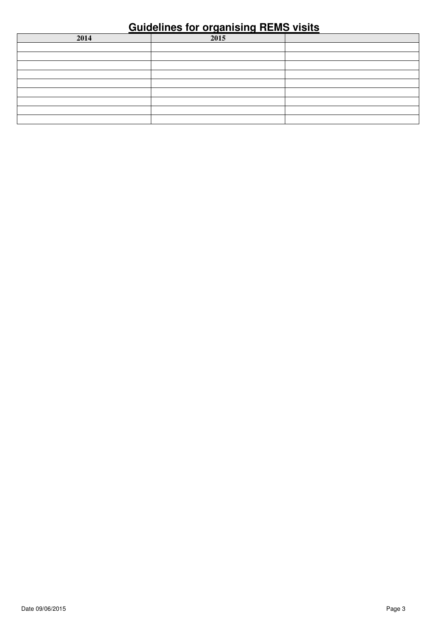| 2014 | 2015 |  |
|------|------|--|
|      |      |  |
|      |      |  |
|      |      |  |
|      |      |  |
|      |      |  |
|      |      |  |
|      |      |  |
|      |      |  |
|      |      |  |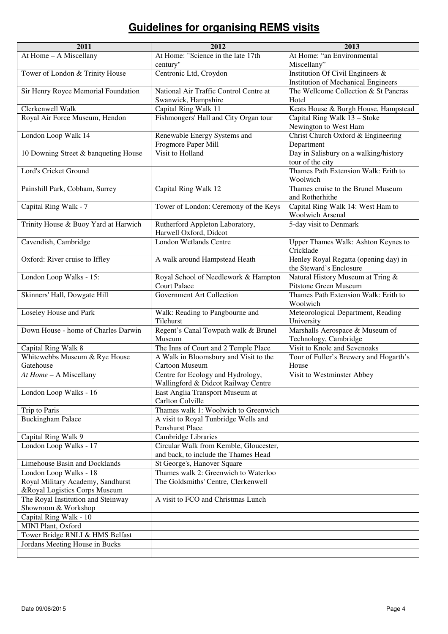| 2011                                                  | 2012                                                                          | 2013                                                                               |
|-------------------------------------------------------|-------------------------------------------------------------------------------|------------------------------------------------------------------------------------|
| At Home - A Miscellany                                | At Home: "Science in the late 17th                                            | At Home: "an Environmental                                                         |
|                                                       | century"                                                                      | Miscellany"                                                                        |
| Tower of London & Trinity House                       | Centronic Ltd, Croydon                                                        | Institution Of Civil Engineers &                                                   |
|                                                       |                                                                               | <b>Institution of Mechanical Engineers</b><br>The Wellcome Collection & St Pancras |
| Sir Henry Royce Memorial Foundation                   | National Air Traffic Control Centre at<br>Swanwick, Hampshire                 | Hotel                                                                              |
| Clerkenwell Walk                                      | Capital Ring Walk 11                                                          | Keats House & Burgh House, Hampstead                                               |
| Royal Air Force Museum, Hendon                        | Fishmongers' Hall and City Organ tour                                         | Capital Ring Walk 13 - Stoke                                                       |
|                                                       |                                                                               | Newington to West Ham                                                              |
| London Loop Walk 14                                   | Renewable Energy Systems and                                                  | Christ Church Oxford & Engineering                                                 |
|                                                       | Frogmore Paper Mill                                                           | Department                                                                         |
| 10 Downing Street & banqueting House                  | Visit to Holland                                                              | Day in Salisbury on a walking/history                                              |
|                                                       |                                                                               | tour of the city                                                                   |
| Lord's Cricket Ground                                 |                                                                               | Thames Path Extension Walk: Erith to<br>Woolwich                                   |
| Painshill Park, Cobham, Surrey                        | Capital Ring Walk 12                                                          | Thames cruise to the Brunel Museum                                                 |
|                                                       |                                                                               | and Rotherhithe                                                                    |
| Capital Ring Walk - 7                                 | Tower of London: Ceremony of the Keys                                         | Capital Ring Walk 14: West Ham to                                                  |
|                                                       |                                                                               | <b>Woolwich Arsenal</b>                                                            |
| Trinity House & Buoy Yard at Harwich                  | Rutherford Appleton Laboratory,                                               | 5-day visit to Denmark                                                             |
|                                                       | Harwell Oxford, Didcot                                                        |                                                                                    |
| Cavendish, Cambridge                                  | <b>London Wetlands Centre</b>                                                 | Upper Thames Walk: Ashton Keynes to                                                |
|                                                       |                                                                               | Cricklade                                                                          |
| Oxford: River cruise to Iffley                        | A walk around Hampstead Heath                                                 | Henley Royal Regatta (opening day) in                                              |
| London Loop Walks - 15:                               | Royal School of Needlework & Hampton                                          | the Steward's Enclosure<br>Natural History Museum at Tring &                       |
|                                                       | <b>Court Palace</b>                                                           | Pitstone Green Museum                                                              |
| Skinners' Hall, Dowgate Hill                          | Government Art Collection                                                     | Thames Path Extension Walk: Erith to                                               |
|                                                       |                                                                               | Woolwich                                                                           |
| Loseley House and Park                                | Walk: Reading to Pangbourne and                                               | Meteorological Department, Reading                                                 |
|                                                       | Tilehurst                                                                     | University                                                                         |
| Down House - home of Charles Darwin                   | Regent's Canal Towpath walk & Brunel                                          | Marshalls Aerospace & Museum of                                                    |
|                                                       | Museum                                                                        | Technology, Cambridge                                                              |
| Capital Ring Walk 8<br>Whitewebbs Museum & Rye House  | The Inns of Court and 2 Temple Place<br>A Walk in Bloomsbury and Visit to the | Visit to Knole and Sevenoaks<br>Tour of Fuller's Brewery and Hogarth's             |
| Gatehouse                                             | Cartoon Museum                                                                | House                                                                              |
| At Home - A Miscellany                                | Centre for Ecology and Hydrology,                                             | Visit to Westminster Abbey                                                         |
|                                                       | Wallingford & Didcot Railway Centre                                           |                                                                                    |
| London Loop Walks - 16                                | East Anglia Transport Museum at                                               |                                                                                    |
|                                                       | Carlton Colville                                                              |                                                                                    |
| Trip to Paris                                         | Thames walk 1: Woolwich to Greenwich                                          |                                                                                    |
| <b>Buckingham Palace</b>                              | A visit to Royal Tunbridge Wells and                                          |                                                                                    |
|                                                       | <b>Penshurst Place</b>                                                        |                                                                                    |
| Capital Ring Walk 9<br>London Loop Walks - 17         | <b>Cambridge Libraries</b><br>Circular Walk from Kemble, Gloucester,          |                                                                                    |
|                                                       | and back, to include the Thames Head                                          |                                                                                    |
| Limehouse Basin and Docklands                         | St George's, Hanover Square                                                   |                                                                                    |
| London Loop Walks - 18                                | Thames walk 2: Greenwich to Waterloo                                          |                                                                                    |
| Royal Military Academy, Sandhurst                     | The Goldsmiths' Centre, Clerkenwell                                           |                                                                                    |
| &Royal Logistics Corps Museum                         |                                                                               |                                                                                    |
| The Royal Institution and Steinway                    | A visit to FCO and Christmas Lunch                                            |                                                                                    |
| Showroom & Workshop                                   |                                                                               |                                                                                    |
| Capital Ring Walk - 10                                |                                                                               |                                                                                    |
| MINI Plant, Oxford<br>Tower Bridge RNLI & HMS Belfast |                                                                               |                                                                                    |
| Jordans Meeting House in Bucks                        |                                                                               |                                                                                    |
|                                                       |                                                                               |                                                                                    |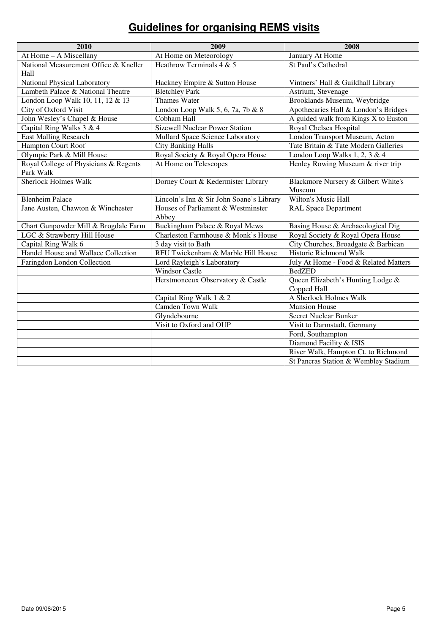| 2010                                  | 2009                                     | 2008                                  |
|---------------------------------------|------------------------------------------|---------------------------------------|
| At Home - A Miscellany                | At Home on Meteorology                   | January At Home                       |
| National Measurement Office & Kneller | Heathrow Terminals 4 & 5                 | St Paul's Cathedral                   |
| Hall                                  |                                          |                                       |
| National Physical Laboratory          | Hackney Empire & Sutton House            | Vintners' Hall & Guildhall Library    |
| Lambeth Palace & National Theatre     | <b>Bletchley Park</b>                    | Astrium, Stevenage                    |
| London Loop Walk 10, 11, 12 & 13      | <b>Thames Water</b>                      | Brooklands Museum, Weybridge          |
| City of Oxford Visit                  | London Loop Walk 5, 6, 7a, 7b & 8        | Apothecaries Hall & London's Bridges  |
| John Wesley's Chapel & House          | Cobham Hall                              | A guided walk from Kings X to Euston  |
| Capital Ring Walks 3 & 4              | <b>Sizewell Nuclear Power Station</b>    | Royal Chelsea Hospital                |
| <b>East Malling Research</b>          | Mullard Space Science Laboratory         | London Transport Museum, Acton        |
| Hampton Court Roof                    | <b>City Banking Halls</b>                | Tate Britain & Tate Modern Galleries  |
| Olympic Park & Mill House             | Royal Society & Royal Opera House        | London Loop Walks 1, 2, 3 & 4         |
| Royal College of Physicians & Regents | At Home on Telescopes                    | Henley Rowing Museum & river trip     |
| Park Walk                             |                                          |                                       |
| <b>Sherlock Holmes Walk</b>           | Dorney Court & Kedermister Library       | Blackmore Nursery & Gilbert White's   |
|                                       |                                          | Museum                                |
| <b>Blenheim Palace</b>                | Lincoln's Inn & Sir John Soane's Library | <b>Wilton's Music Hall</b>            |
| Jane Austen, Chawton & Winchester     | Houses of Parliament & Westminster       | <b>RAL Space Department</b>           |
|                                       | Abbey                                    |                                       |
| Chart Gunpowder Mill & Brogdale Farm  | Buckingham Palace & Royal Mews           | Basing House & Archaeological Dig     |
| LGC & Strawberry Hill House           | Charleston Farmhouse & Monk's House      | Royal Society & Royal Opera House     |
| Capital Ring Walk 6                   | 3 day visit to Bath                      | City Churches, Broadgate & Barbican   |
| Handel House and Wallace Collection   | RFU Twickenham & Marble Hill House       | Historic Richmond Walk                |
| Faringdon London Collection           | Lord Rayleigh's Laboratory               | July At Home - Food & Related Matters |
|                                       | <b>Windsor Castle</b>                    | <b>BedZED</b>                         |
|                                       | Herstmonceux Observatory & Castle        | Queen Elizabeth's Hunting Lodge &     |
|                                       |                                          | Copped Hall                           |
|                                       | Capital Ring Walk 1 & 2                  | A Sherlock Holmes Walk                |
|                                       | <b>Camden Town Walk</b>                  | <b>Mansion House</b>                  |
|                                       | Glyndebourne                             | <b>Secret Nuclear Bunker</b>          |
|                                       | Visit to Oxford and OUP                  | Visit to Darmstadt, Germany           |
|                                       |                                          | Ford, Southampton                     |
|                                       |                                          | Diamond Facility & ISIS               |
|                                       |                                          | River Walk, Hampton Ct. to Richmond   |
|                                       |                                          | St Pancras Station & Wembley Stadium  |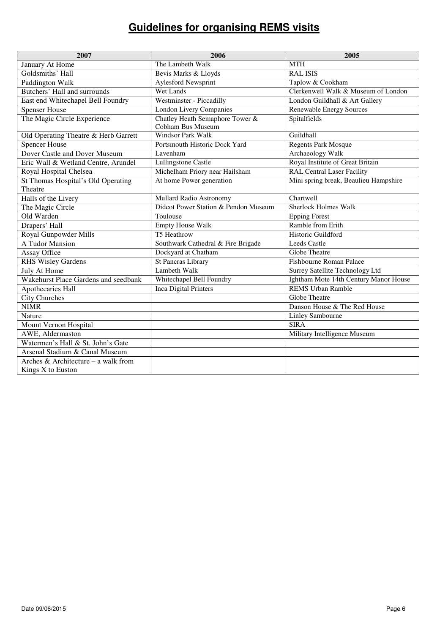| 2007                                 | 2006                                                 | 2005                                  |
|--------------------------------------|------------------------------------------------------|---------------------------------------|
| January At Home                      | The Lambeth Walk                                     | <b>MTH</b>                            |
| Goldsmiths' Hall                     | Bevis Marks & Lloyds                                 | <b>RAL ISIS</b>                       |
| Paddington Walk                      | <b>Aylesford Newsprint</b>                           | Taplow & Cookham                      |
| Butchers' Hall and surrounds         | Wet Lands                                            | Clerkenwell Walk & Museum of London   |
| East end Whitechapel Bell Foundry    | Westminster - Piccadilly                             | London Guildhall & Art Gallery        |
| <b>Spenser House</b>                 | <b>London Livery Companies</b>                       | <b>Renewable Energy Sources</b>       |
| The Magic Circle Experience          | Chatley Heath Semaphore Tower &<br>Cobham Bus Museum | Spitalfields                          |
| Old Operating Theatre & Herb Garrett | Windsor Park Walk                                    | Guildhall                             |
| <b>Spencer House</b>                 | Portsmouth Historic Dock Yard                        | <b>Regents Park Mosque</b>            |
| Dover Castle and Dover Museum        | Lavenham                                             | Archaeology Walk                      |
| Eric Wall & Wetland Centre, Arundel  | Lullingstone Castle                                  | Royal Institute of Great Britain      |
| Royal Hospital Chelsea               | Michelham Priory near Hailsham                       | <b>RAL Central Laser Facility</b>     |
| St Thomas Hospital's Old Operating   | At home Power generation                             | Mini spring break, Beaulieu Hampshire |
| Theatre                              |                                                      |                                       |
| Halls of the Livery                  | Mullard Radio Astronomy                              | Chartwell                             |
| The Magic Circle                     | Didcot Power Station & Pendon Museum                 | <b>Sherlock Holmes Walk</b>           |
| Old Warden                           | Toulouse                                             | <b>Epping Forest</b>                  |
| Drapers' Hall                        | <b>Empty House Walk</b>                              | Ramble from Erith                     |
| Royal Gunpowder Mills                | T5 Heathrow                                          | Historic Guildford                    |
| A Tudor Mansion                      | Southwark Cathedral & Fire Brigade                   | <b>Leeds Castle</b>                   |
| Assay Office                         | Dockyard at Chatham                                  | Globe Theatre                         |
| <b>RHS Wisley Gardens</b>            | <b>St Pancras Library</b>                            | Fishbourne Roman Palace               |
| July At Home                         | Lambeth Walk                                         | Surrey Satellite Technology Ltd       |
| Wakehurst Place Gardens and seedbank | Whitechapel Bell Foundry                             | Ightham Mote 14th Century Manor House |
| Apothecaries Hall                    | Inca Digital Printers                                | <b>REMS Urban Ramble</b>              |
| <b>City Churches</b>                 |                                                      | Globe Theatre                         |
| <b>NIMR</b>                          |                                                      | Danson House & The Red House          |
| Nature                               |                                                      | <b>Linley Sambourne</b>               |
| Mount Vernon Hospital                |                                                      | <b>SIRA</b>                           |
| AWE, Aldermaston                     |                                                      | Military Intelligence Museum          |
| Watermen's Hall & St. John's Gate    |                                                      |                                       |
| Arsenal Stadium & Canal Museum       |                                                      |                                       |
| Arches & Architecture – a walk from  |                                                      |                                       |
| Kings X to Euston                    |                                                      |                                       |